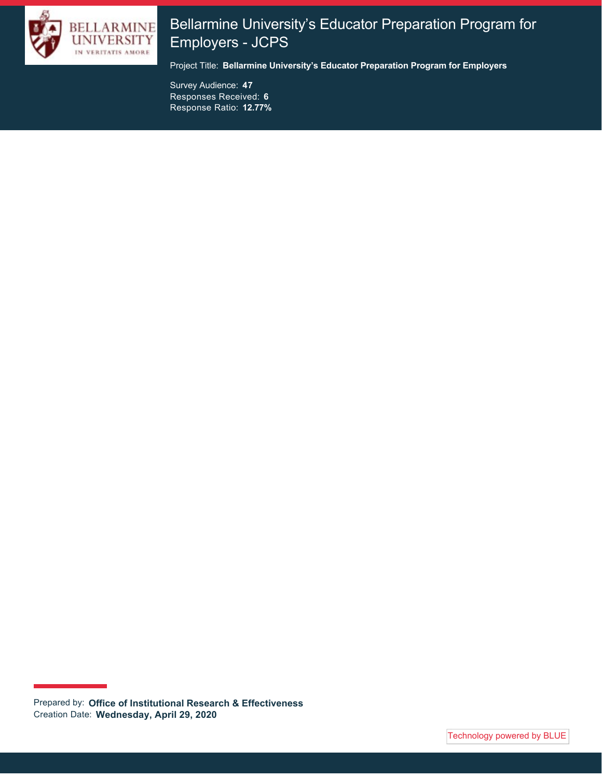

# Bellarmine University's Educator Preparation Program for Employers - JCPS

Project Title: **Bellarmine University's Educator Preparation Program for Employers**

Survey Audience: **47** Responses Received: **6** Response Ratio: **12.77%**

Prepared by: **Office of Institutional Research & Effectiveness** Creation Date: **Wednesday, April 29, 2020**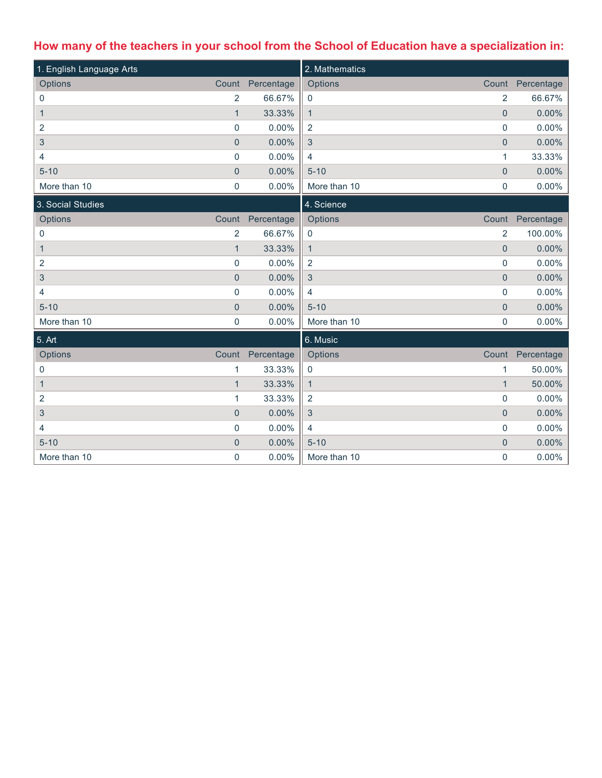# **How many of the teachers in your school from the School of Education have a specialization in:**

| 1. English Language Arts  |                |            | 2. Mathematics                 |                  |
|---------------------------|----------------|------------|--------------------------------|------------------|
| Options                   | Count          | Percentage | Options<br>Count               | Percentage       |
| 0                         | 2              | 66.67%     | $\overline{2}$<br>$\mathbf 0$  | 66.67%           |
| $\mathbf{1}$              | $\overline{1}$ | 33.33%     | $\mathbf 0$<br>$\mathbf{1}$    | 0.00%            |
| 2                         | $\pmb{0}$      | 0.00%      | $\overline{2}$<br>0            | 0.00%            |
| $\ensuremath{\mathsf{3}}$ | $\overline{0}$ | 0.00%      | $\mathbf{3}$<br>$\mathbf{0}$   | 0.00%            |
| 4                         | $\pmb{0}$      | 0.00%      | $\overline{4}$<br>1            | 33.33%           |
| $5 - 10$                  | $\pmb{0}$      | 0.00%      | $5 - 10$<br>$\pmb{0}$          | 0.00%            |
| More than 10              | $\mathbf 0$    | 0.00%      | More than 10<br>0              | 0.00%            |
| 3. Social Studies         |                |            | 4. Science                     |                  |
| Options                   | Count          | Percentage | Options                        | Count Percentage |
| 0                         | $\overline{2}$ | 66.67%     | $\overline{2}$<br>0            | 100.00%          |
| 1                         | $\mathbf{1}$   | 33.33%     | $\mathbf 0$<br>$\mathbf{1}$    | 0.00%            |
| 2                         | $\pmb{0}$      | 0.00%      | $\pmb{0}$<br>$\overline{2}$    | 0.00%            |
| $\sqrt{3}$                | $\pmb{0}$      | 0.00%      | $\mathbf{3}$<br>$\overline{0}$ | 0.00%            |
| 4                         | $\pmb{0}$      | 0.00%      | 0<br>$\overline{4}$            | 0.00%            |
| $5 - 10$                  | $\mathbf 0$    | 0.00%      | $5 - 10$<br>$\pmb{0}$          | 0.00%            |
| More than 10              | $\pmb{0}$      | 0.00%      | More than 10<br>0              | 0.00%            |
| 5. Art                    |                |            | 6. Music                       |                  |
| Options                   | Count          | Percentage | Options<br>Count               | Percentage       |
| 0                         | 1              | 33.33%     | $\pmb{0}$<br>1                 | 50.00%           |
| $\mathbf{1}$              | $\mathbf{1}$   | 33.33%     | $\mathbf{1}$<br>$\mathbf{1}$   | 50.00%           |
| 2                         | 1              | 33.33%     | $\overline{2}$<br>0            | 0.00%            |
| 3                         | $\overline{0}$ | 0.00%      | $\mathbf{3}$<br>$\overline{0}$ | 0.00%            |
| 4                         | $\pmb{0}$      | 0.00%      | $\overline{4}$<br>0            | 0.00%            |
| $5 - 10$                  | $\pmb{0}$      | 0.00%      | $5 - 10$<br>$\mathbf 0$        | 0.00%            |
| More than 10              | $\mathbf 0$    | 0.00%      | 0<br>More than 10              | 0.00%            |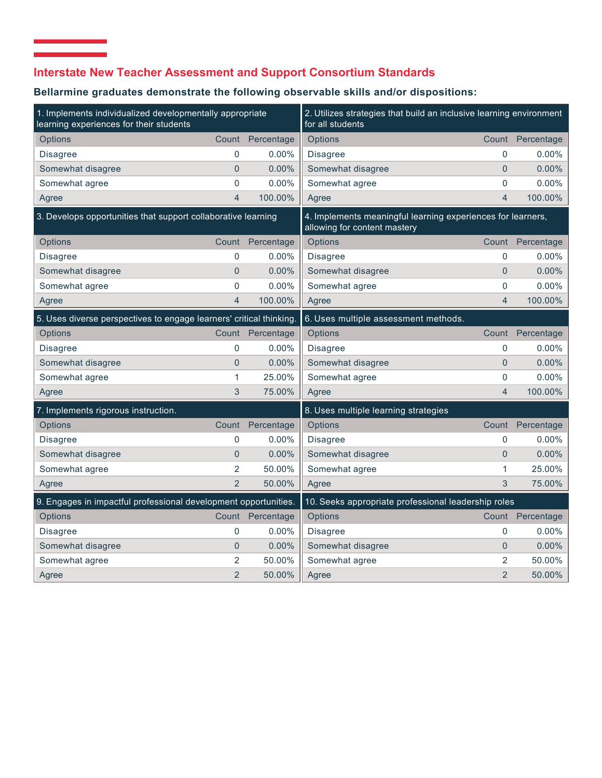## **Interstate New Teacher Assessment and Support Consortium Standards**

 $\mathcal{L}_{\mathcal{A}}$  and  $\mathcal{L}_{\mathcal{A}}$  are the set of the set of the set of  $\mathcal{A}$ 

## **Bellarmine graduates demonstrate the following observable skills and/or dispositions:**

| 1. Implements individualized developmentally appropriate<br>learning experiences for their students |                  |                  | 2. Utilizes strategies that build an inclusive learning environment<br>for all students     |                |                  |
|-----------------------------------------------------------------------------------------------------|------------------|------------------|---------------------------------------------------------------------------------------------|----------------|------------------|
| Options                                                                                             | Count            | Percentage       | Options                                                                                     |                | Count Percentage |
| <b>Disagree</b>                                                                                     | 0                | $0.00\%$         | Disagree                                                                                    | $\mathbf{0}$   | $0.00\%$         |
| Somewhat disagree                                                                                   | $\mathbf{0}$     | 0.00%            | Somewhat disagree                                                                           | $\overline{0}$ | 0.00%            |
| Somewhat agree                                                                                      | $\mathbf 0$      | 0.00%            | Somewhat agree                                                                              | 0              | 0.00%            |
| Agree                                                                                               | $\overline{4}$   | 100.00%          | Agree                                                                                       | $\overline{4}$ | 100.00%          |
| 3. Develops opportunities that support collaborative learning                                       |                  |                  | 4. Implements meaningful learning experiences for learners,<br>allowing for content mastery |                |                  |
| Options                                                                                             | Count            | Percentage       | Options                                                                                     |                | Count Percentage |
| <b>Disagree</b>                                                                                     | 0                | $0.00\%$         | Disagree                                                                                    | $\mathbf{0}$   | $0.00\%$         |
| Somewhat disagree                                                                                   | $\mathbf{0}$     | 0.00%            | Somewhat disagree                                                                           | $\overline{0}$ | 0.00%            |
| Somewhat agree                                                                                      | $\overline{0}$   | 0.00%            | Somewhat agree                                                                              | 0              | 0.00%            |
| Agree                                                                                               | $\overline{4}$   | 100.00%          | Agree                                                                                       | $\overline{4}$ | 100.00%          |
| 5. Uses diverse perspectives to engage learners' critical thinking.                                 |                  |                  | 6. Uses multiple assessment methods.                                                        |                |                  |
| Options                                                                                             |                  | Count Percentage | Options                                                                                     | Count          | Percentage       |
| <b>Disagree</b>                                                                                     | 0                | $0.00\%$         | <b>Disagree</b>                                                                             | $\mathbf{0}$   | $0.00\%$         |
| Somewhat disagree                                                                                   | $\overline{0}$   | 0.00%            | Somewhat disagree                                                                           | $\overline{0}$ | 0.00%            |
| Somewhat agree                                                                                      | 1                | 25.00%           | Somewhat agree                                                                              | $\mathbf 0$    | $0.00\%$         |
| Agree                                                                                               | 3                | 75.00%           | Agree                                                                                       | $\overline{4}$ | 100.00%          |
| 7. Implements rigorous instruction.                                                                 |                  |                  | 8. Uses multiple learning strategies                                                        |                |                  |
| Options                                                                                             | Count            | Percentage       | Options                                                                                     | Count          | Percentage       |
| <b>Disagree</b>                                                                                     | $\boldsymbol{0}$ | 0.00%            | <b>Disagree</b>                                                                             | $\mathbf 0$    | 0.00%            |
| Somewhat disagree                                                                                   | $\overline{0}$   | 0.00%            | Somewhat disagree                                                                           | $\overline{0}$ | 0.00%            |
| Somewhat agree                                                                                      | $\overline{2}$   | 50.00%           | Somewhat agree                                                                              | 1              | 25.00%           |
| Agree                                                                                               | $\overline{2}$   | 50.00%           | Agree                                                                                       | 3              | 75.00%           |
| 9. Engages in impactful professional development opportunities.                                     |                  |                  | 10. Seeks appropriate professional leadership roles                                         |                |                  |
| Options                                                                                             | Count            | Percentage       | Options                                                                                     |                | Count Percentage |
| Disagree                                                                                            | 0                | 0.00%            | <b>Disagree</b>                                                                             | 0              | 0.00%            |
| Somewhat disagree                                                                                   | $\overline{0}$   | 0.00%            | Somewhat disagree                                                                           | $\overline{0}$ | 0.00%            |
| Somewhat agree                                                                                      | 2                | 50.00%           | Somewhat agree                                                                              | 2              | 50.00%           |
| Agree                                                                                               | $\overline{2}$   | 50.00%           | Agree                                                                                       | $\overline{2}$ | 50.00%           |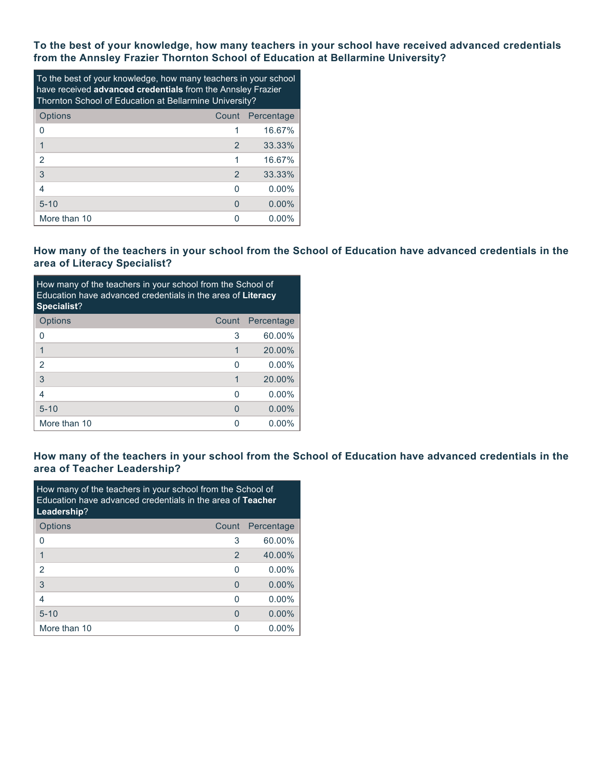**To the best of your knowledge, how many teachers in your school have received advanced credentials from the Annsley Frazier Thornton School of Education at Bellarmine University?**

| To the best of your knowledge, how many teachers in your school<br>have received advanced credentials from the Annsley Frazier<br>Thornton School of Education at Bellarmine University? |   |                  |  |  |  |
|------------------------------------------------------------------------------------------------------------------------------------------------------------------------------------------|---|------------------|--|--|--|
| Options                                                                                                                                                                                  |   | Count Percentage |  |  |  |
| 0                                                                                                                                                                                        |   | 16.67%           |  |  |  |
| 1                                                                                                                                                                                        | 2 | 33.33%           |  |  |  |
| 2                                                                                                                                                                                        |   | 16.67%           |  |  |  |
| 3                                                                                                                                                                                        | 2 | 33.33%           |  |  |  |
| 4                                                                                                                                                                                        | O | $0.00\%$         |  |  |  |
| $5 - 10$                                                                                                                                                                                 | O | $0.00\%$         |  |  |  |
| More than 10                                                                                                                                                                             |   | 0.00%            |  |  |  |

### **How many of the teachers in your school from the School of Education have advanced credentials in the area of Literacy Specialist?**

| How many of the teachers in your school from the School of<br>Education have advanced credentials in the area of Literacy<br>Specialist? |       |            |  |  |  |
|------------------------------------------------------------------------------------------------------------------------------------------|-------|------------|--|--|--|
| <b>Options</b>                                                                                                                           | Count | Percentage |  |  |  |
| 0                                                                                                                                        | 3     | 60.00%     |  |  |  |
| 1                                                                                                                                        | 1     | 20.00%     |  |  |  |
| $\mathcal{P}$                                                                                                                            | O     | $0.00\%$   |  |  |  |
| 3                                                                                                                                        |       | 20.00%     |  |  |  |
| 4                                                                                                                                        | ∩     | $0.00\%$   |  |  |  |
| $5 - 10$                                                                                                                                 | 0     | $0.00\%$   |  |  |  |
| More than 10                                                                                                                             |       | $0.00\%$   |  |  |  |

### **How many of the teachers in your school from the School of Education have advanced credentials in the area of Teacher Leadership?**

| How many of the teachers in your school from the School of<br>Education have advanced credentials in the area of Teacher<br>Leadership? |       |            |  |  |  |
|-----------------------------------------------------------------------------------------------------------------------------------------|-------|------------|--|--|--|
| Options                                                                                                                                 | Count | Percentage |  |  |  |
| 0                                                                                                                                       | 3     | 60.00%     |  |  |  |
| 1                                                                                                                                       | 2     | 40.00%     |  |  |  |
| 2                                                                                                                                       | ∩     | $0.00\%$   |  |  |  |
| 3                                                                                                                                       | O     | $0.00\%$   |  |  |  |
| 4                                                                                                                                       | U     | $0.00\%$   |  |  |  |
| $5 - 10$                                                                                                                                | O     | $0.00\%$   |  |  |  |
| More than 10                                                                                                                            | ∩     | $0.00\%$   |  |  |  |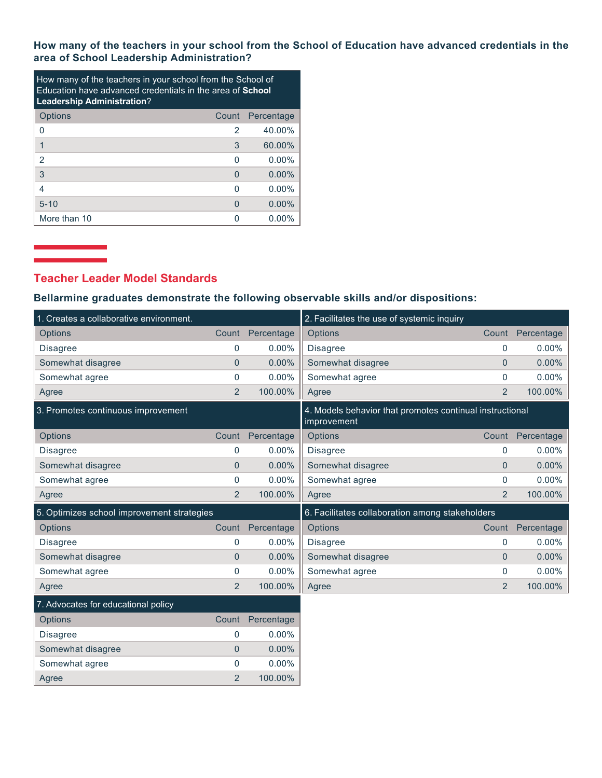**How many of the teachers in your school from the School of Education have advanced credentials in the area of School Leadership Administration?**

| How many of the teachers in your school from the School of<br>Education have advanced credentials in the area of <b>School</b><br><b>Leadership Administration?</b> |       |            |  |  |  |
|---------------------------------------------------------------------------------------------------------------------------------------------------------------------|-------|------------|--|--|--|
| Options                                                                                                                                                             | Count | Percentage |  |  |  |
| 0                                                                                                                                                                   | 2     | 40.00%     |  |  |  |
|                                                                                                                                                                     | 3     | 60.00%     |  |  |  |
| 2                                                                                                                                                                   | O     | $0.00\%$   |  |  |  |
| 3                                                                                                                                                                   | O     | $0.00\%$   |  |  |  |
| 4                                                                                                                                                                   | ∩     | $0.00\%$   |  |  |  |
| $5 - 10$                                                                                                                                                            | O     | $0.00\%$   |  |  |  |
| More than 10                                                                                                                                                        | n     | $0.00\%$   |  |  |  |

## **Teacher Leader Model Standards**

### **Bellarmine graduates demonstrate the following observable skills and/or dispositions:**

| 1. Creates a collaborative environment.    |                |            | 2. Facilitates the use of systemic inquiry                              |                |            |
|--------------------------------------------|----------------|------------|-------------------------------------------------------------------------|----------------|------------|
| <b>Options</b>                             | Count          | Percentage | Options                                                                 | Count          | Percentage |
| <b>Disagree</b>                            | $\mathbf 0$    | $0.00\%$   | <b>Disagree</b>                                                         | $\Omega$       | $0.00\%$   |
| Somewhat disagree                          | $\mathbf{0}$   | 0.00%      | Somewhat disagree                                                       | $\mathbf{0}$   | 0.00%      |
| Somewhat agree                             | $\mathbf 0$    | $0.00\%$   | Somewhat agree                                                          | 0              | $0.00\%$   |
| Agree                                      | 2              | 100.00%    | Agree                                                                   | 2              | 100.00%    |
| 3. Promotes continuous improvement         |                |            | 4. Models behavior that promotes continual instructional<br>improvement |                |            |
| Options                                    | Count          | Percentage | Options                                                                 | Count          | Percentage |
| <b>Disagree</b>                            | 0              | $0.00\%$   | <b>Disagree</b>                                                         | $\mathbf 0$    | $0.00\%$   |
| Somewhat disagree                          | $\overline{0}$ | $0.00\%$   | Somewhat disagree                                                       | $\overline{0}$ | $0.00\%$   |
| Somewhat agree                             | $\mathbf 0$    | $0.00\%$   | Somewhat agree                                                          | $\Omega$       | 0.00%      |
| Agree                                      | $\overline{2}$ | 100.00%    | Agree                                                                   | $\overline{2}$ | 100.00%    |
| 5. Optimizes school improvement strategies |                |            | 6. Facilitates collaboration among stakeholders                         |                |            |
| Options                                    | Count          | Percentage | Options                                                                 | Count          | Percentage |
| <b>Disagree</b>                            | $\mathbf 0$    | $0.00\%$   | <b>Disagree</b>                                                         | $\mathbf{0}$   | $0.00\%$   |
| Somewhat disagree                          | $\mathbf{0}$   | 0.00%      | Somewhat disagree                                                       | $\Omega$       | 0.00%      |
| Somewhat agree                             | $\mathbf 0$    | $0.00\%$   | Somewhat agree                                                          | $\mathbf 0$    | $0.00\%$   |
| Agree                                      | $\overline{2}$ | 100.00%    | Agree                                                                   | $\overline{2}$ | 100.00%    |
| 7. Advocates for educational policy        |                |            |                                                                         |                |            |
| Options                                    | Count          | Percentage |                                                                         |                |            |
| <b>Disagree</b>                            | $\mathbf 0$    | $0.00\%$   |                                                                         |                |            |
| Somewhat disagree                          | $\overline{0}$ | $0.00\%$   |                                                                         |                |            |
| Somewhat agree                             | $\mathbf 0$    | 0.00%      |                                                                         |                |            |
| Agree                                      | $\overline{2}$ | 100.00%    |                                                                         |                |            |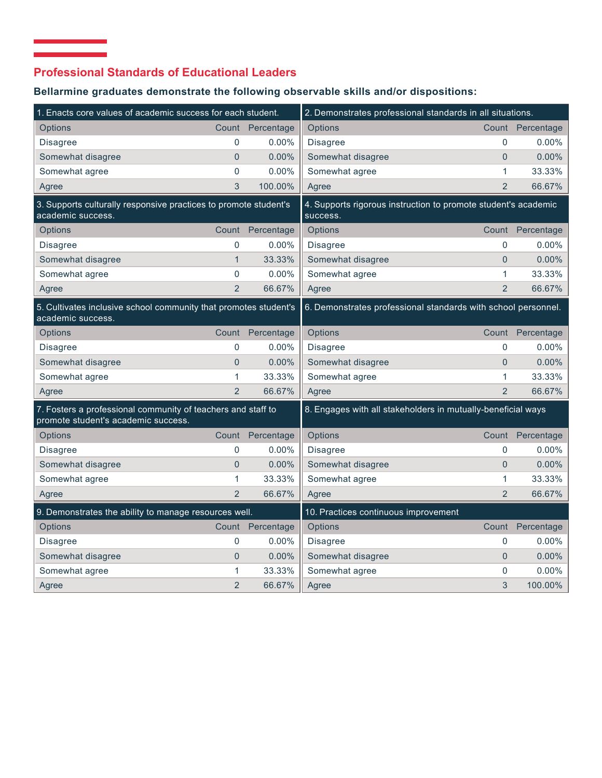## **Professional Standards of Educational Leaders**

# **Bellarmine graduates demonstrate the following observable skills and/or dispositions:**

| 1. Enacts core values of academic success for each student.                                         |                |            | 2. Demonstrates professional standards in all situations.                  |                |                  |
|-----------------------------------------------------------------------------------------------------|----------------|------------|----------------------------------------------------------------------------|----------------|------------------|
| <b>Options</b>                                                                                      | Count          | Percentage | Options                                                                    |                | Count Percentage |
| <b>Disagree</b>                                                                                     | $\mathbf 0$    | $0.00\%$   | Disagree                                                                   | $\mathbf{0}$   | $0.00\%$         |
| Somewhat disagree                                                                                   | $\overline{0}$ | 0.00%      | Somewhat disagree                                                          | $\overline{0}$ | 0.00%            |
| Somewhat agree                                                                                      | $\mathbf 0$    | 0.00%      | Somewhat agree                                                             | $\mathbf{1}$   | 33.33%           |
| Agree                                                                                               | 3              | 100.00%    | Agree                                                                      | $\overline{2}$ | 66.67%           |
| 3. Supports culturally responsive practices to promote student's<br>academic success.               |                |            | 4. Supports rigorous instruction to promote student's academic<br>success. |                |                  |
| <b>Options</b>                                                                                      | Count          | Percentage | Options                                                                    |                | Count Percentage |
| Disagree                                                                                            | 0              | $0.00\%$   | <b>Disagree</b>                                                            | 0              | $0.00\%$         |
| Somewhat disagree                                                                                   | $\mathbf{1}$   | 33.33%     | Somewhat disagree                                                          | $\overline{0}$ | 0.00%            |
| Somewhat agree                                                                                      | $\mathbf 0$    | 0.00%      | Somewhat agree                                                             | 1              | 33.33%           |
| Agree                                                                                               | $\overline{2}$ | 66.67%     | Agree                                                                      | $\overline{2}$ | 66.67%           |
| 5. Cultivates inclusive school community that promotes student's<br>academic success.               |                |            | 6. Demonstrates professional standards with school personnel.              |                |                  |
| Options                                                                                             | Count          | Percentage | Options                                                                    | Count          | Percentage       |
| <b>Disagree</b>                                                                                     | $\mathbf{0}$   | $0.00\%$   | <b>Disagree</b>                                                            | 0              | $0.00\%$         |
| Somewhat disagree                                                                                   | $\overline{0}$ | 0.00%      | Somewhat disagree                                                          | $\overline{0}$ | 0.00%            |
| Somewhat agree                                                                                      | 1              | 33.33%     | Somewhat agree                                                             | 1              | 33.33%           |
| Agree                                                                                               | $\overline{2}$ | 66.67%     | Agree                                                                      | $\overline{2}$ | 66.67%           |
| 7. Fosters a professional community of teachers and staff to<br>promote student's academic success. |                |            | 8. Engages with all stakeholders in mutually-beneficial ways               |                |                  |
| Options                                                                                             | Count          | Percentage | Options                                                                    |                | Count Percentage |
| <b>Disagree</b>                                                                                     | 0              | 0.00%      | <b>Disagree</b>                                                            | 0              | $0.00\%$         |
| Somewhat disagree                                                                                   | $\overline{0}$ | $0.00\%$   | Somewhat disagree                                                          | $\overline{0}$ | $0.00\%$         |
| Somewhat agree                                                                                      | 1              | 33.33%     | Somewhat agree                                                             | 1              | 33.33%           |
| Agree                                                                                               | $\overline{2}$ | 66.67%     | Agree                                                                      | $\overline{2}$ | 66.67%           |
| 9. Demonstrates the ability to manage resources well.                                               |                |            | 10. Practices continuous improvement                                       |                |                  |
| Options                                                                                             | Count          | Percentage | Options                                                                    | Count          | Percentage       |
| <b>Disagree</b>                                                                                     | 0              | $0.00\%$   | <b>Disagree</b>                                                            | 0              | $0.00\%$         |
| Somewhat disagree                                                                                   | $\mathbf{0}$   | 0.00%      | Somewhat disagree                                                          | $\overline{0}$ | 0.00%            |
| Somewhat agree                                                                                      | 1              | 33.33%     | Somewhat agree                                                             | 0              | 0.00%            |
| Agree                                                                                               | $\overline{2}$ | 66.67%     | Agree                                                                      | 3              | 100.00%          |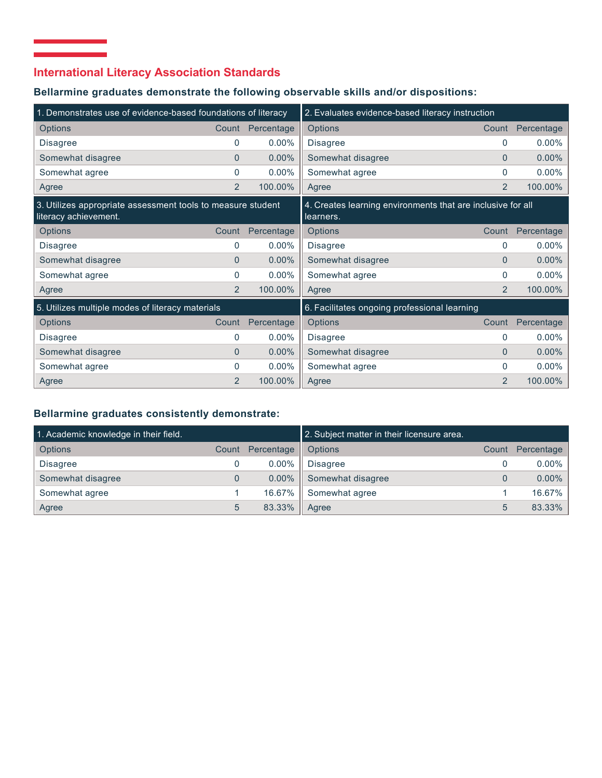## **International Literacy Association Standards**

 $\mathcal{L}_{\mathcal{A}}$  and  $\mathcal{L}_{\mathcal{A}}$  are the set of the set of the set of  $\mathcal{A}$ 

### **Bellarmine graduates demonstrate the following observable skills and/or dispositions:**

| 1. Demonstrates use of evidence-based foundations of literacy                        |                |            | 2. Evaluates evidence-based literacy instruction                         |                |            |
|--------------------------------------------------------------------------------------|----------------|------------|--------------------------------------------------------------------------|----------------|------------|
| <b>Options</b>                                                                       | Count          | Percentage | <b>Options</b>                                                           | Count          | Percentage |
| <b>Disagree</b>                                                                      | $\Omega$       | $0.00\%$   | <b>Disagree</b>                                                          | 0              | 0.00%      |
| Somewhat disagree                                                                    | $\Omega$       | $0.00\%$   | Somewhat disagree                                                        | $\Omega$       | 0.00%      |
| Somewhat agree                                                                       | 0              | $0.00\%$   | Somewhat agree                                                           | $\mathbf{0}$   | 0.00%      |
| Agree                                                                                | 2              | 100.00%    | Agree                                                                    | 2              | 100.00%    |
| 3. Utilizes appropriate assessment tools to measure student<br>literacy achievement. |                |            | 4. Creates learning environments that are inclusive for all<br>learners. |                |            |
| <b>Options</b>                                                                       | Count          | Percentage | Options                                                                  | Count          | Percentage |
| <b>Disagree</b>                                                                      | 0              | $0.00\%$   | <b>Disagree</b>                                                          | 0              | 0.00%      |
| Somewhat disagree                                                                    | $\Omega$       | $0.00\%$   | Somewhat disagree                                                        | $\Omega$       | 0.00%      |
| Somewhat agree                                                                       | $\Omega$       | $0.00\%$   | Somewhat agree                                                           | 0              | 0.00%      |
| Agree                                                                                | $\overline{2}$ | 100.00%    | Agree                                                                    | 2              | 100.00%    |
| 5. Utilizes multiple modes of literacy materials                                     |                |            | 6. Facilitates ongoing professional learning                             |                |            |
| <b>Options</b>                                                                       | Count          | Percentage | Options                                                                  | Count          | Percentage |
| <b>Disagree</b>                                                                      | $\Omega$       | $0.00\%$   | <b>Disagree</b>                                                          | 0              | 0.00%      |
| Somewhat disagree                                                                    | $\Omega$       | $0.00\%$   | Somewhat disagree                                                        | $\Omega$       | 0.00%      |
| Somewhat agree                                                                       | $\Omega$       | $0.00\%$   | Somewhat agree                                                           | 0              | 0.00%      |
| Agree                                                                                | $\overline{2}$ | 100.00%    | Agree                                                                    | $\overline{2}$ | 100.00%    |

### **Bellarmine graduates consistently demonstrate:**

| 1. Academic knowledge in their field. |       |            | 2. Subject matter in their licensure area. |       |            |
|---------------------------------------|-------|------------|--------------------------------------------|-------|------------|
| <b>Options</b>                        | Count | Percentage | Options                                    | Count | Percentage |
| <b>Disagree</b>                       |       | $0.00\%$   | <b>Disagree</b>                            |       | $0.00\%$   |
| Somewhat disagree                     | 0     | $0.00\%$   | Somewhat disagree                          |       | $0.00\%$   |
| Somewhat agree                        |       | 16.67%     | Somewhat agree                             |       | 16.67%     |
| Agree                                 | 5     | 83.33%     | Agree                                      |       | 83.33%     |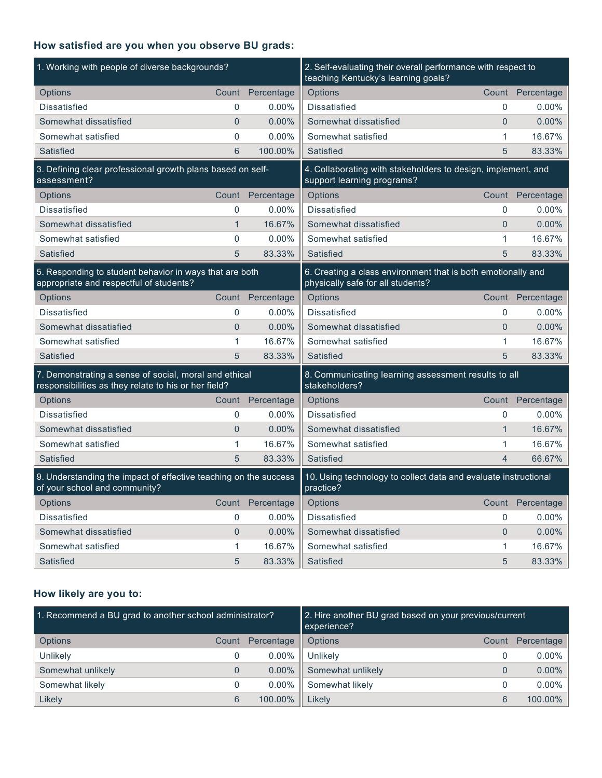## **How satisfied are you when you observe BU grads:**

| 1. Working with people of diverse backgrounds?                                                                |                |            | 2. Self-evaluating their overall performance with respect to<br>teaching Kentucky's learning goals? |              |                  |
|---------------------------------------------------------------------------------------------------------------|----------------|------------|-----------------------------------------------------------------------------------------------------|--------------|------------------|
| Options                                                                                                       | Count          | Percentage | Options                                                                                             |              | Count Percentage |
| <b>Dissatisfied</b>                                                                                           | 0              | 0.00%      | <b>Dissatisfied</b>                                                                                 | $\mathbf{0}$ | $0.00\%$         |
| Somewhat dissatisfied                                                                                         | $\overline{0}$ | 0.00%      | Somewhat dissatisfied                                                                               | 0            | 0.00%            |
| Somewhat satisfied                                                                                            | 0              | 0.00%      | Somewhat satisfied                                                                                  | 1            | 16.67%           |
| <b>Satisfied</b>                                                                                              | 6              | 100.00%    | Satisfied                                                                                           | 5            | 83.33%           |
| 3. Defining clear professional growth plans based on self-<br>assessment?                                     |                |            | 4. Collaborating with stakeholders to design, implement, and<br>support learning programs?          |              |                  |
| Options                                                                                                       | Count          | Percentage | Options                                                                                             |              | Count Percentage |
| <b>Dissatisfied</b>                                                                                           | 0              | 0.00%      | <b>Dissatisfied</b>                                                                                 | $\Omega$     | 0.00%            |
| Somewhat dissatisfied                                                                                         | $\mathbf{1}$   | 16.67%     | Somewhat dissatisfied                                                                               | $\Omega$     | 0.00%            |
| Somewhat satisfied                                                                                            | 0              | 0.00%      | Somewhat satisfied                                                                                  | 1            | 16.67%           |
| Satisfied                                                                                                     | 5              | 83.33%     | Satisfied                                                                                           | 5            | 83.33%           |
| 5. Responding to student behavior in ways that are both<br>appropriate and respectful of students?            |                |            | 6. Creating a class environment that is both emotionally and<br>physically safe for all students?   |              |                  |
| Options                                                                                                       | Count          | Percentage | Options                                                                                             |              | Count Percentage |
| <b>Dissatisfied</b>                                                                                           | 0              | 0.00%      | <b>Dissatisfied</b>                                                                                 | 0            | 0.00%            |
| Somewhat dissatisfied                                                                                         | $\Omega$       | 0.00%      | Somewhat dissatisfied                                                                               | $\Omega$     | 0.00%            |
| Somewhat satisfied                                                                                            | 1              | 16.67%     | Somewhat satisfied                                                                                  | 1            | 16.67%           |
| Satisfied                                                                                                     | 5              | 83.33%     | Satisfied                                                                                           | 5            | 83.33%           |
| 7. Demonstrating a sense of social, moral and ethical<br>responsibilities as they relate to his or her field? |                |            | 8. Communicating learning assessment results to all<br>stakeholders?                                |              |                  |
| Options                                                                                                       | Count          | Percentage | Options                                                                                             | Count        | Percentage       |
| <b>Dissatisfied</b>                                                                                           | 0              | $0.00\%$   | <b>Dissatisfied</b>                                                                                 | $\mathbf{0}$ | $0.00\%$         |
| Somewhat dissatisfied                                                                                         | $\overline{0}$ | 0.00%      | Somewhat dissatisfied                                                                               | $\mathbf{1}$ | 16.67%           |
| Somewhat satisfied                                                                                            | 1              | 16.67%     | Somewhat satisfied                                                                                  | 1            | 16.67%           |
| <b>Satisfied</b>                                                                                              | 5              | 83.33%     | Satisfied                                                                                           | 4            | 66.67%           |
| 9. Understanding the impact of effective teaching on the success<br>of your school and community?             |                |            | 10. Using technology to collect data and evaluate instructional<br>practice?                        |              |                  |
| Options                                                                                                       | Count          | Percentage | Options                                                                                             | Count        | Percentage       |
| Dissatisfied                                                                                                  | 0              | $0.00\%$   | <b>Dissatisfied</b>                                                                                 | $\Omega$     | $0.00\%$         |
| Somewhat dissatisfied                                                                                         | $\overline{0}$ | 0.00%      | Somewhat dissatisfied                                                                               | $\Omega$     | 0.00%            |
| Somewhat satisfied                                                                                            | 1              | 16.67%     | Somewhat satisfied                                                                                  | 1            | 16.67%           |
| <b>Satisfied</b>                                                                                              | 5              | 83.33%     | Satisfied                                                                                           | 5            | 83.33%           |

## **How likely are you to:**

| 1. Recommend a BU grad to another school administrator? |       |            | 2. Hire another BU grad based on your previous/current<br>experience? |       |            |
|---------------------------------------------------------|-------|------------|-----------------------------------------------------------------------|-------|------------|
| <b>Options</b>                                          | Count | Percentage | Options                                                               | Count | Percentage |
| Unlikely                                                | 0     | $0.00\%$   | Unlikely                                                              |       | $0.00\%$   |
| Somewhat unlikely                                       | 0     | $0.00\%$   | Somewhat unlikely                                                     |       | $0.00\%$   |
| Somewhat likely                                         | 0     | $0.00\%$   | Somewhat likely                                                       |       | $0.00\%$   |
| Likely                                                  | 6     | 100.00%    | Likely                                                                | 6     | 100.00%    |